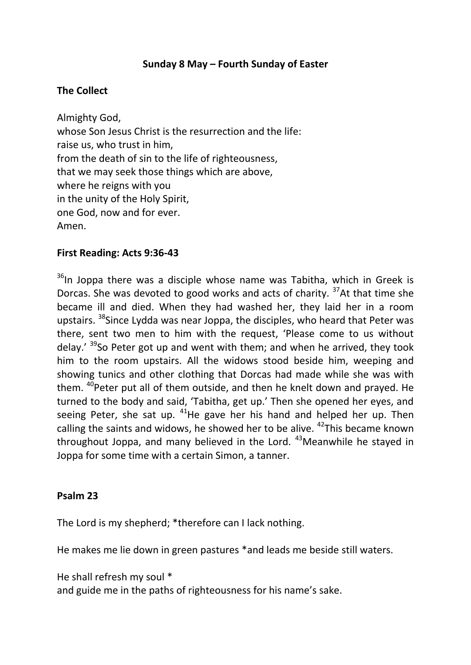## **Sunday 8 May – Fourth Sunday of Easter**

## **The Collect**

Almighty God, whose Son Jesus Christ is the resurrection and the life: raise us, who trust in him, from the death of sin to the life of righteousness, that we may seek those things which are above, where he reigns with you in the unity of the Holy Spirit, one God, now and for ever. Amen.

### **First Reading: Acts 9:36-43**

<sup>36</sup>In Joppa there was a disciple whose name was Tabitha, which in Greek is Dorcas. She was devoted to good works and acts of charity. <sup>37</sup>At that time she became ill and died. When they had washed her, they laid her in a room upstairs. <sup>38</sup>Since Lydda was near Joppa, the disciples, who heard that Peter was there, sent two men to him with the request, 'Please come to us without delay.' <sup>39</sup>So Peter got up and went with them; and when he arrived, they took him to the room upstairs. All the widows stood beside him, weeping and showing tunics and other clothing that Dorcas had made while she was with them. <sup>40</sup>Peter put all of them outside, and then he knelt down and prayed. He turned to the body and said, 'Tabitha, get up.' Then she opened her eyes, and seeing Peter, she sat up.  $41$ He gave her his hand and helped her up. Then calling the saints and widows, he showed her to be alive.  $42$ This became known throughout Joppa, and many believed in the Lord. <sup>43</sup>Meanwhile he stayed in Joppa for some time with a certain Simon, a tanner.

#### **Psalm 23**

The Lord is my shepherd; \*therefore can I lack nothing.

He makes me lie down in green pastures \*and leads me beside still waters.

He shall refresh my soul \*

and guide me in the paths of righteousness for his name's sake.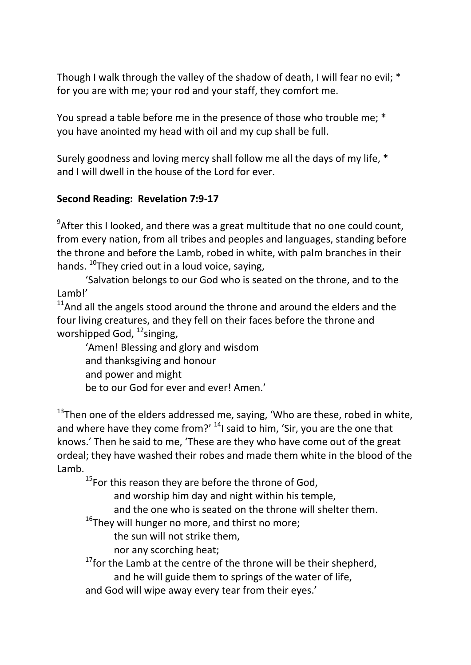Though I walk through the valley of the shadow of death, I will fear no evil; \* for you are with me; your rod and your staff, they comfort me.

You spread a table before me in the presence of those who trouble me; \* you have anointed my head with oil and my cup shall be full.

Surely goodness and loving mercy shall follow me all the days of my life, \* and I will dwell in the house of the Lord for ever.

# **Second Reading: Revelation 7:9-17**

 $9$ After this I looked, and there was a great multitude that no one could count, from every nation, from all tribes and peoples and languages, standing before the throne and before the Lamb, robed in white, with palm branches in their hands.  $^{10}$ They cried out in a loud voice, saying,

'Salvation belongs to our God who is seated on the throne, and to the Lamb!'

 $11$ And all the angels stood around the throne and around the elders and the four living creatures, and they fell on their faces before the throne and worshipped God, <sup>12</sup>singing,

'Amen! Blessing and glory and wisdom and thanksgiving and honour and power and might be to our God for ever and ever! Amen.'

 $13$ Then one of the elders addressed me, saying, 'Who are these, robed in white, and where have they come from?'  $^{14}$ I said to him, 'Sir, you are the one that knows.' Then he said to me, 'These are they who have come out of the great ordeal; they have washed their robes and made them white in the blood of the Lamb.

<sup>15</sup>For this reason they are before the throne of God,

and worship him day and night within his temple,

and the one who is seated on the throne will shelter them.

 $16$ They will hunger no more, and thirst no more;

the sun will not strike them,

nor any scorching heat;

 $17$  for the Lamb at the centre of the throne will be their shepherd, and he will guide them to springs of the water of life,

and God will wipe away every tear from their eyes.'